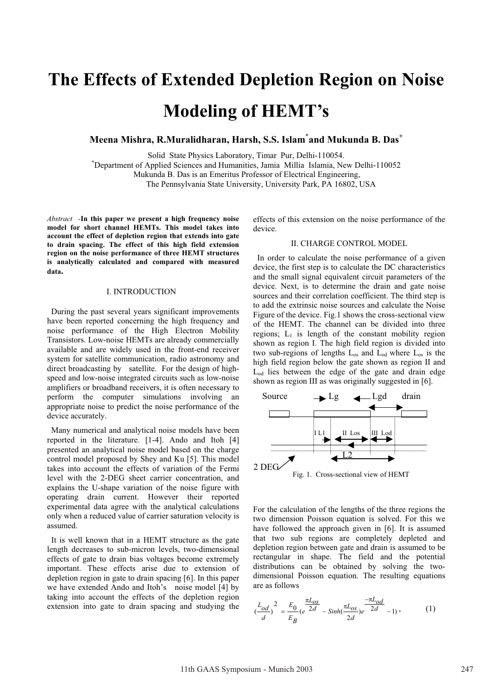# **The Effects of Extended Depletion Region on Noise Modeling of HEMT's**

**Meena Mishra, R.Muralidharan, Harsh, S.S. Islam\* and Mukunda B. Das<sup>+</sup>**

Solid State Physics Laboratory, Timar Pur, Delhi-110054. **\***

Department of Applied Sciences and Humanities, Jamia Millia Islamia, New Delhi-110052

Mukunda B. Das is an Emeritus Professor of Electrical Engineering,

The Pennsylvania State University, University Park, PA 16802, USA

*Abstract -***In this paper we present a high frequency noise model for short channel HEMTs. This model takes into account the effect of depletion region that extends into gate to drain spacing. The effect of this high field extension region on the noise performance of three HEMT structures is analytically calculated and compared with measured data.** 

### I. INTRODUCTION

 During the past several years significant improvements have been reported concerning the high frequency and noise performance of the High Electron Mobility Transistors. Low-noise HEMTs are already commercially available and are widely used in the front-end receiver system for satellite communication, radio astronomy and direct broadcasting by satellite. For the design of highspeed and low-noise integrated circuits such as low-noise amplifiers or broadband receivers, it is often necessary to perform the computer simulations involving an appropriate noise to predict the noise performance of the device accurately.

 Many numerical and analytical noise models have been reported in the literature. [1-4]. Ando and Itoh [4] presented an analytical noise model based on the charge control model proposed by Shey and Ku [5]. This model takes into account the effects of variation of the Fermi level with the 2-DEG sheet carrier concentration, and explains the U-shape variation of the noise figure with operating drain current. However their reported experimental data agree with the analytical calculations only when a reduced value of carrier saturation velocity is assumed.

 It is well known that in a HEMT structure as the gate length decreases to sub-micron levels, two-dimensional effects of gate to drain bias voltages become extremely important. These effects arise due to extension of depletion region in gate to drain spacing [6]. In this paper we have extended Ando and Itoh's noise model [4] by taking into account the effects of the depletion region extension into gate to drain spacing and studying the

effects of this extension on the noise performance of the device.

# II. CHARGE CONTROL MODEL

 In order to calculate the noise performance of a given device, the first step is to calculate the DC characteristics and the small signal equivalent circuit parameters of the device. Next, is to determine the drain and gate noise sources and their correlation coefficient. The third step is to add the extrinsic noise sources and calculate the Noise Figure of the device. Fig.1 shows the cross-sectional view of the HEMT. The channel can be divided into three regions;  $L_1$  is length of the constant mobility region shown as region I. The high field region is divided into two sub-regions of lengths  $L_{os}$  and  $L_{od}$  where  $L_{os}$  is the high field region below the gate shown as region II and Lod lies between the edge of the gate and drain edge shown as region III as was originally suggested in [6].



For the calculation of the lengths of the three regions the two dimension Poisson equation is solved. For this we have followed the approach given in [6]. It is assumed that two sub regions are completely depleted and depletion region between gate and drain is assumed to be rectangular in shape. The field and the potential distributions can be obtained by solving the twodimensional Poisson equation. The resulting equations are as follows

$$
\left(\frac{L_{od}}{d}\right)^2 = \frac{E_0}{E_B} \left(e^{\frac{\pi L_{OS}}{2d}} - \sinh(\frac{\pi L_{OS}}{2d})e^{-\frac{\pi L_{od}}{2d}} - 1\right),\tag{1}
$$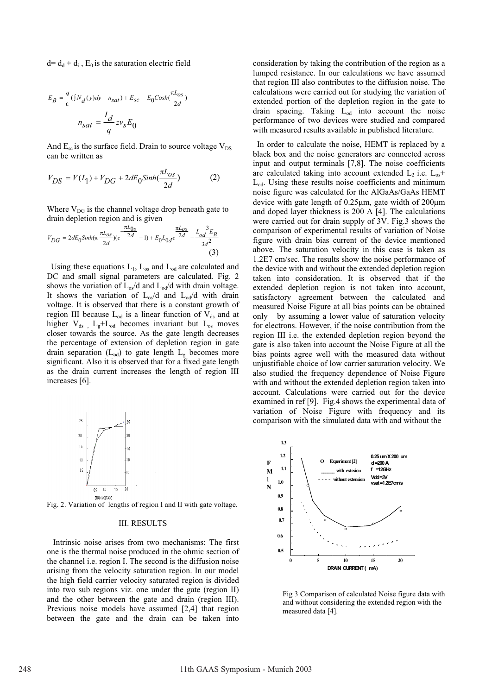$d = d_d + d_i$ ,  $E_0$  is the saturation electric field

$$
E_B = \frac{q}{\varepsilon} (\frac{\int N_d(y)dy - n_{sat}) + E_{sc} - E_0 \text{Cos}h(\frac{\pi L_{os}}{2d})}{n_{sat} = \frac{I_d}{q} z v_s E_0
$$

And  $E_{\rm sc}$  is the surface field. Drain to source voltage  $V_{\rm DS}$ can be written as

$$
V_{DS} = V(L_1) + V_{DG} + 2dE_0 \sinh(\frac{\pi L_{OS}}{2d})
$$
 (2)

Where  $V_{DG}$  is the channel voltage drop beneath gate to drain depletion region and is given

$$
V_{DG} = 2dE_0 \sinh(\pi \frac{\pi L_{OS}}{2d})(e^{-\frac{\pi L_{OS}}{2d}} - 1) + E_0 L_{0d} e^{\frac{\pi L_{OS}}{2d}} - \frac{L_{od}^3 E_B}{3d^2}
$$
\n(3)

Using these equations  $L_1$ ,  $L_{os}$  and  $L_{od}$  are calculated and DC and small signal parameters are calculated. Fig. 2 shows the variation of  $L_{\text{os}}/d$  and  $L_{\text{od}}/d$  with drain voltage. It shows the variation of  $L_{\text{os}}/d$  and  $L_{\text{od}}/d$  with drain voltage. It is observed that there is a constant growth of region III because  $L_{od}$  is a linear function of  $V_{ds}$  and at higher  $V_{ds}$ ,  $L_g+L_{od}$  becomes invariant but  $L_{os}$  moves closer towards the source. As the gate length decreases the percentage of extension of depletion region in gate drain separation ( $L_{od}$ ) to gate length  $L_g$  becomes more significant. Also it is observed that for a fixed gate length as the drain current increases the length of region III increases [6].



Fig. 2. Variation of lengths of region I and II with gate voltage.

# III. RESULTS

 Intrinsic noise arises from two mechanisms: The first one is the thermal noise produced in the ohmic section of the channel i.e. region I. The second is the diffusion noise arising from the velocity saturation region. In our model the high field carrier velocity saturated region is divided into two sub regions viz. one under the gate (region II) and the other between the gate and drain (region III). Previous noise models have assumed [2,4] that region between the gate and the drain can be taken into

consideration by taking the contribution of the region as a lumped resistance. In our calculations we have assumed that region III also contributes to the diffusion noise. The calculations were carried out for studying the variation of extended portion of the depletion region in the gate to drain spacing. Taking  $L_{od}$  into account the noise performance of two devices were studied and compared with measured results available in published literature.

 In order to calculate the noise, HEMT is replaced by a black box and the noise generators are connected across input and output terminals [7,8]. The noise coefficients are calculated taking into account extended  $L_2$  i.e.  $L_{os}$ + Lod. Using these results noise coefficients and minimum noise figure was calculated for the AlGaAs/GaAs HEMT device with gate length of  $0.25\mu$ m, gate width of  $200\mu$ m and doped layer thickness is 200 A [4]. The calculations were carried out for drain supply of 3V. Fig.3 shows the comparison of experimental results of variation of Noise figure with drain bias current of the device mentioned above. The saturation velocity in this case is taken as 1.2E7 cm/sec. The results show the noise performance of the device with and without the extended depletion region taken into consideration. It is observed that if the extended depletion region is not taken into account, satisfactory agreement between the calculated and measured Noise Figure at all bias points can be obtained only by assuming a lower value of saturation velocity for electrons. However, if the noise contribution from the region III i.e. the extended depletion region beyond the gate is also taken into account the Noise Figure at all the bias points agree well with the measured data without unjustifiable choice of low carrier saturation velocity. We also studied the frequency dependence of Noise Figure with and without the extended depletion region taken into account. Calculations were carried out for the device examined in ref [9]. Fig.4 shows the experimental data of variation of Noise Figure with frequency and its comparison with the simulated data with and without the



Fig 3 Comparison of calculated Noise figure data with and without considering the extended region with the measured data [4].